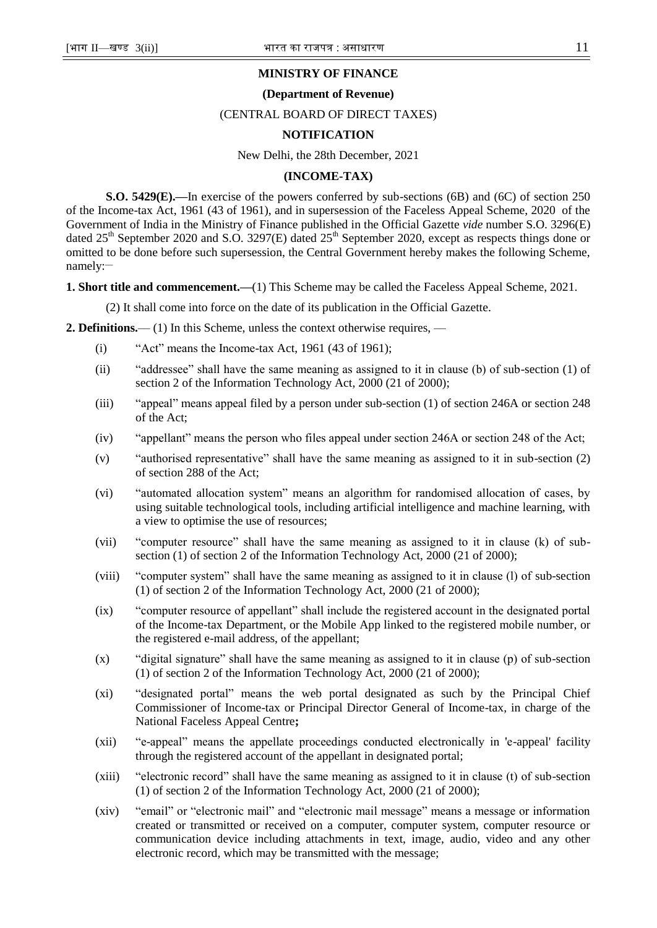# **MINISTRY OF FINANCE**

### **(Department of Revenue)**

#### (CENTRAL BOARD OF DIRECT TAXES)

#### **NOTIFICATION**

#### New Delhi, the 28th December, 2021

### **(INCOME-TAX)**

**S.O. 5429(E).—**In exercise of the powers conferred by sub-sections (6B) and (6C) of section 250 of the Income-tax Act, 1961 (43 of 1961), and in supersession of the Faceless Appeal Scheme, 2020 of the Government of India in the Ministry of Finance published in the Official Gazette *vide* number S.O. 3296(E) dated  $25<sup>th</sup>$  September 2020 and S.O. 3297(E) dated  $25<sup>th</sup>$  September 2020, except as respects things done or omitted to be done before such supersession, the Central Government hereby makes the following Scheme, namely:-

**1. Short title and commencement.—**(1) This Scheme may be called the Faceless Appeal Scheme, 2021.

(2) It shall come into force on the date of its publication in the Official Gazette.

**2. Definitions.**—— (1) In this Scheme, unless the context otherwise requires, —

- (i)  $"Act" means the Income-tax Act, 1961 (43 of 1961);$
- (ii) "addressee" shall have the same meaning as assigned to it in clause (b) of sub-section (1) of section 2 of the Information Technology Act, 2000 (21 of 2000);
- (iii)  $\qquad$  "appeal" means appeal filed by a person under sub-section (1) of section 246A or section 248 of the Act;
- (iv) "appellant" means the person who files appeal under section 246A or section 248 of the Act;
- (v)  $\qquad$  "authorised representative" shall have the same meaning as assigned to it in sub-section (2) of section 288 of the Act;
- (vi) "automated allocation system" means an algorithm for randomised allocation of cases, by using suitable technological tools, including artificial intelligence and machine learning, with a view to optimise the use of resources;
- (vii) "computer resource" shall have the same meaning as assigned to it in clause (k) of subsection (1) of section 2 of the Information Technology Act, 2000 (21 of 2000);
- (viii) "computer system" shall have the same meaning as assigned to it in clause (l) of sub-section (1) of section 2 of the Information Technology Act, 2000 (21 of 2000);
- (ix) "computer resource of appellant" shall include the registered account in the designated portal of the Income-tax Department, or the Mobile App linked to the registered mobile number, or the registered e-mail address, of the appellant;
- $(x)$  "digital signature" shall have the same meaning as assigned to it in clause (p) of sub-section (1) of section 2 of the Information Technology Act, 2000 (21 of 2000);
- (xi) 
"designated portal" means the web portal designated as such by the Principal Chief Commissioner of Income-tax or Principal Director General of Income-tax, in charge of the National Faceless Appeal Centre**;**
- (xii) **"e-appeal**" means the appellate proceedings conducted electronically in 'e-appeal' facility through the registered account of the appellant in designated portal;
- $(xiii)$  "electronic record" shall have the same meaning as assigned to it in clause (t) of sub-section (1) of section 2 of the Information Technology Act, 2000 (21 of 2000);
- (xiv) "email" or "electronic mail" and "electronic mail message" means a message or information created or transmitted or received on a computer, computer system, computer resource or communication device including attachments in text, image, audio, video and any other electronic record, which may be transmitted with the message;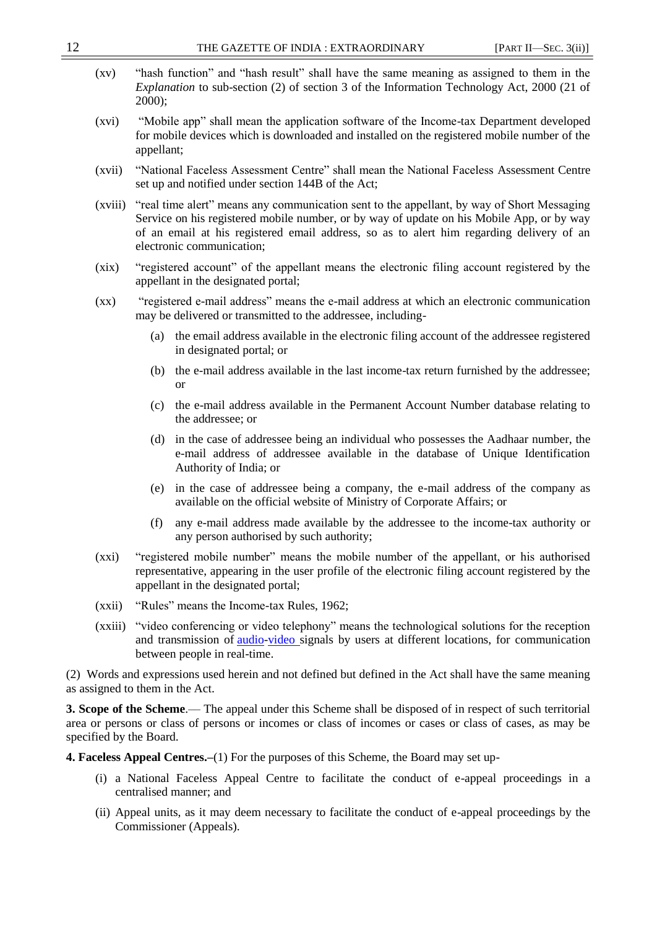- $(xv)$  "hash function" and "hash result" shall have the same meaning as assigned to them in the *Explanation* to sub-section (2) of section 3 of the Information Technology Act, 2000 (21 of 2000);
- (xvi) "Mobile app" shall mean the application software of the Income-tax Department developed for mobile devices which is downloaded and installed on the registered mobile number of the appellant;
- (xvii) "National Faceless Assessment Centre" shall mean the National Faceless Assessment Centre set up and notified under section 144B of the Act;
- (xviii) "real time alert" means any communication sent to the appellant, by way of Short Messaging Service on his registered mobile number, or by way of update on his Mobile App, or by way of an email at his registered email address, so as to alert him regarding delivery of an electronic communication;
- (xix) "registered account" of the appellant means the electronic filing account registered by the appellant in the designated portal;
- (xx) "registered e-mail address" means the e-mail address at which an electronic communication may be delivered or transmitted to the addressee, including-
	- (a) the email address available in the electronic filing account of the addressee registered in designated portal; or
	- (b) the e-mail address available in the last income-tax return furnished by the addressee; or
	- (c) the e-mail address available in the Permanent Account Number database relating to the addressee; or
	- (d) in the case of addressee being an individual who possesses the Aadhaar number, the e-mail address of addressee available in the database of Unique Identification Authority of India; or
	- (e) in the case of addressee being a company, the e-mail address of the company as available on the official website of Ministry of Corporate Affairs; or
	- (f) any e-mail address made available by the addressee to the income-tax authority or any person authorised by such authority;
- (xxi) "registered mobile number" means the mobile number of the appellant, or his authorised representative, appearing in the user profile of the electronic filing account registered by the appellant in the designated portal;
- $(xxii)$  "Rules" means the Income-tax Rules, 1962;
- (xxiii) "video conferencing or video telephony" means the technological solutions for the reception and transmission of [audio-](https://en.wikipedia.org/wiki/Audio_signal)[video](https://en.wikipedia.org/wiki/Video) signals by users at different locations, for communication between people in real-time.

(2) Words and expressions used herein and not defined but defined in the Act shall have the same meaning as assigned to them in the Act.

**3. Scope of the Scheme**.–– The appeal under this Scheme shall be disposed of in respect of such territorial area or persons or class of persons or incomes or class of incomes or cases or class of cases, as may be specified by the Board.

**4. Faceless Appeal Centres.–**(1) For the purposes of this Scheme, the Board may set up-

- (i) a National Faceless Appeal Centre to facilitate the conduct of e-appeal proceedings in a centralised manner; and
- (ii) Appeal units, as it may deem necessary to facilitate the conduct of e-appeal proceedings by the Commissioner (Appeals).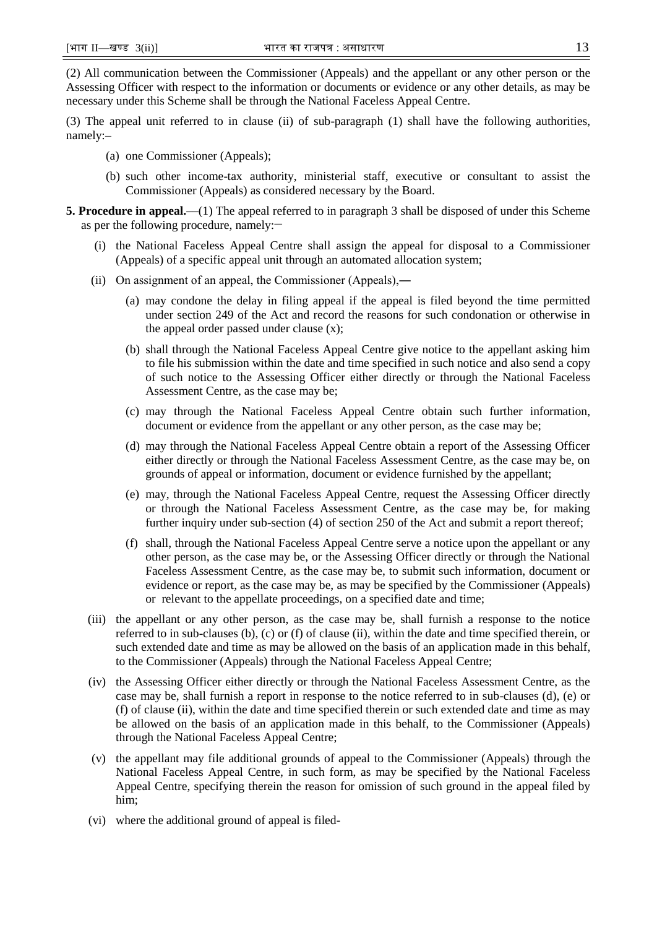(2) All communication between the Commissioner (Appeals) and the appellant or any other person or the Assessing Officer with respect to the information or documents or evidence or any other details, as may be necessary under this Scheme shall be through the National Faceless Appeal Centre.

(3) The appeal unit referred to in clause (ii) of sub-paragraph (1) shall have the following authorities, namely:–

- (a) one Commissioner (Appeals);
- (b) such other income-tax authority, ministerial staff, executive or consultant to assist the Commissioner (Appeals) as considered necessary by the Board.
- **5. Procedure in appeal.—**(1) The appeal referred to in paragraph 3 shall be disposed of under this Scheme as per the following procedure, namely:**\_\_**
	- (i) the National Faceless Appeal Centre shall assign the appeal for disposal to a Commissioner (Appeals) of a specific appeal unit through an automated allocation system;
	- (ii) On assignment of an appeal, the Commissioner (Appeals),―
		- (a) may condone the delay in filing appeal if the appeal is filed beyond the time permitted under section 249 of the Act and record the reasons for such condonation or otherwise in the appeal order passed under clause (x);
		- (b) shall through the National Faceless Appeal Centre give notice to the appellant asking him to file his submission within the date and time specified in such notice and also send a copy of such notice to the Assessing Officer either directly or through the National Faceless Assessment Centre, as the case may be;
		- (c) may through the National Faceless Appeal Centre obtain such further information, document or evidence from the appellant or any other person, as the case may be;
		- (d) may through the National Faceless Appeal Centre obtain a report of the Assessing Officer either directly or through the National Faceless Assessment Centre, as the case may be, on grounds of appeal or information, document or evidence furnished by the appellant;
		- (e) may, through the National Faceless Appeal Centre, request the Assessing Officer directly or through the National Faceless Assessment Centre, as the case may be, for making further inquiry under sub-section (4) of section 250 of the Act and submit a report thereof;
		- (f) shall, through the National Faceless Appeal Centre serve a notice upon the appellant or any other person, as the case may be, or the Assessing Officer directly or through the National Faceless Assessment Centre, as the case may be, to submit such information, document or evidence or report, as the case may be, as may be specified by the Commissioner (Appeals) or relevant to the appellate proceedings, on a specified date and time;
	- (iii) the appellant or any other person, as the case may be, shall furnish a response to the notice referred to in sub-clauses (b), (c) or (f) of clause (ii), within the date and time specified therein, or such extended date and time as may be allowed on the basis of an application made in this behalf, to the Commissioner (Appeals) through the National Faceless Appeal Centre;
	- (iv) the Assessing Officer either directly or through the National Faceless Assessment Centre, as the case may be, shall furnish a report in response to the notice referred to in sub-clauses (d), (e) or (f) of clause (ii), within the date and time specified therein or such extended date and time as may be allowed on the basis of an application made in this behalf, to the Commissioner (Appeals) through the National Faceless Appeal Centre;
	- (v) the appellant may file additional grounds of appeal to the Commissioner (Appeals) through the National Faceless Appeal Centre, in such form, as may be specified by the National Faceless Appeal Centre, specifying therein the reason for omission of such ground in the appeal filed by him;
	- (vi) where the additional ground of appeal is filed-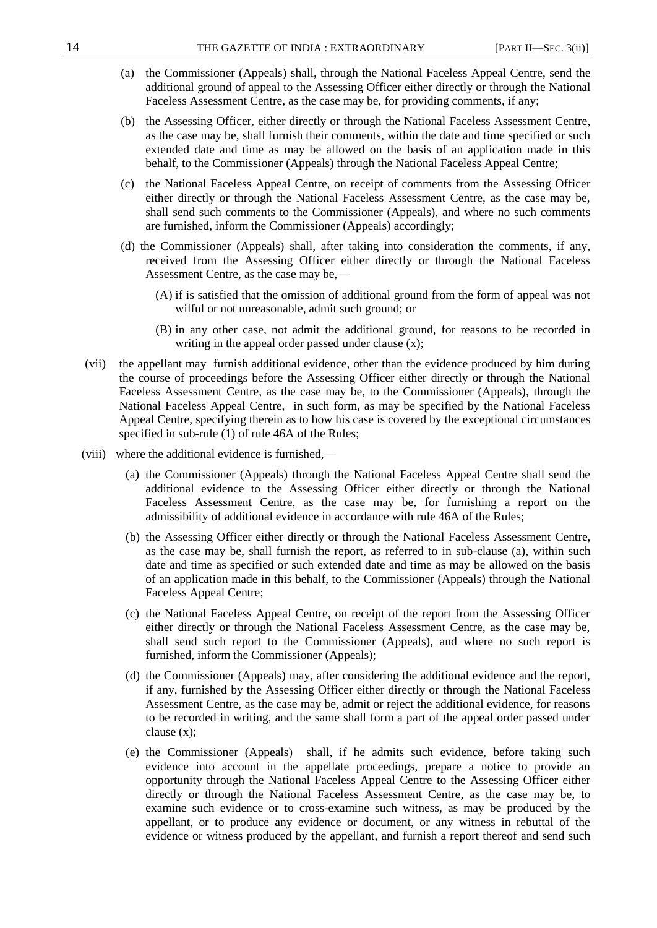- (a) the Commissioner (Appeals) shall, through the National Faceless Appeal Centre, send the additional ground of appeal to the Assessing Officer either directly or through the National Faceless Assessment Centre, as the case may be, for providing comments, if any;
- (b) the Assessing Officer, either directly or through the National Faceless Assessment Centre, as the case may be, shall furnish their comments, within the date and time specified or such extended date and time as may be allowed on the basis of an application made in this behalf, to the Commissioner (Appeals) through the National Faceless Appeal Centre;
- (c) the National Faceless Appeal Centre, on receipt of comments from the Assessing Officer either directly or through the National Faceless Assessment Centre, as the case may be, shall send such comments to the Commissioner (Appeals), and where no such comments are furnished, inform the Commissioner (Appeals) accordingly;
- (d) the Commissioner (Appeals) shall, after taking into consideration the comments, if any, received from the Assessing Officer either directly or through the National Faceless Assessment Centre, as the case may be,—
	- (A) if is satisfied that the omission of additional ground from the form of appeal was not wilful or not unreasonable, admit such ground; or
	- (B) in any other case, not admit the additional ground, for reasons to be recorded in writing in the appeal order passed under clause  $(x)$ ;
- (vii) the appellant may furnish additional evidence, other than the evidence produced by him during the course of proceedings before the Assessing Officer either directly or through the National Faceless Assessment Centre, as the case may be, to the Commissioner (Appeals), through the National Faceless Appeal Centre, in such form, as may be specified by the National Faceless Appeal Centre, specifying therein as to how his case is covered by the exceptional circumstances specified in sub-rule (1) of rule 46A of the Rules;
- (viii) where the additional evidence is furnished,—
	- (a) the Commissioner (Appeals) through the National Faceless Appeal Centre shall send the additional evidence to the Assessing Officer either directly or through the National Faceless Assessment Centre, as the case may be, for furnishing a report on the admissibility of additional evidence in accordance with rule 46A of the Rules;
	- (b) the Assessing Officer either directly or through the National Faceless Assessment Centre, as the case may be, shall furnish the report, as referred to in sub-clause (a), within such date and time as specified or such extended date and time as may be allowed on the basis of an application made in this behalf, to the Commissioner (Appeals) through the National Faceless Appeal Centre;
	- (c) the National Faceless Appeal Centre, on receipt of the report from the Assessing Officer either directly or through the National Faceless Assessment Centre, as the case may be, shall send such report to the Commissioner (Appeals), and where no such report is furnished, inform the Commissioner (Appeals);
	- (d) the Commissioner (Appeals) may, after considering the additional evidence and the report, if any, furnished by the Assessing Officer either directly or through the National Faceless Assessment Centre, as the case may be, admit or reject the additional evidence, for reasons to be recorded in writing, and the same shall form a part of the appeal order passed under clause (x);
	- (e) the Commissioner (Appeals) shall, if he admits such evidence, before taking such evidence into account in the appellate proceedings, prepare a notice to provide an opportunity through the National Faceless Appeal Centre to the Assessing Officer either directly or through the National Faceless Assessment Centre, as the case may be, to examine such evidence or to cross-examine such witness, as may be produced by the appellant, or to produce any evidence or document, or any witness in rebuttal of the evidence or witness produced by the appellant, and furnish a report thereof and send such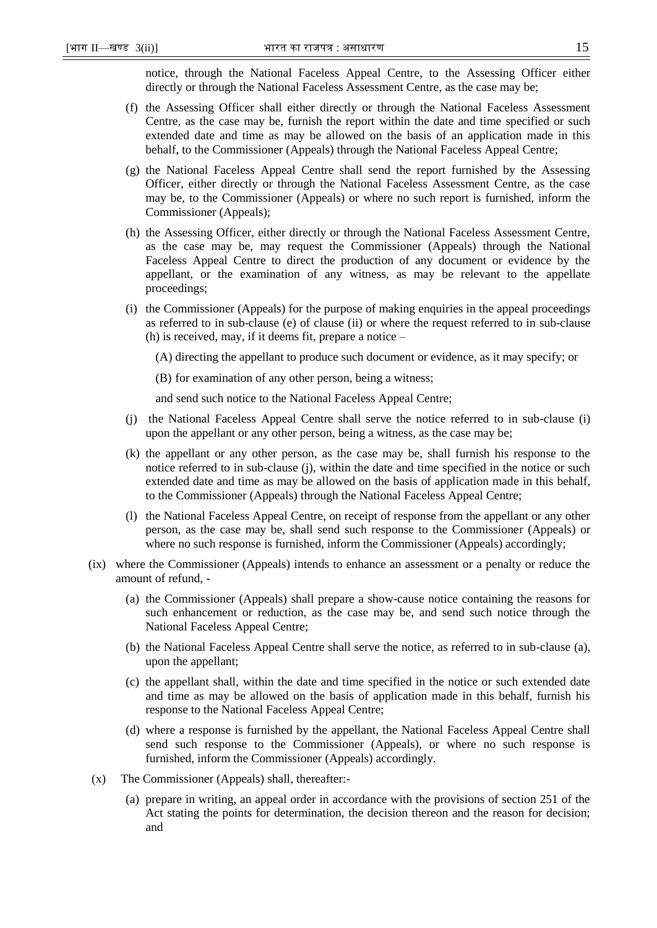notice, through the National Faceless Appeal Centre, to the Assessing Officer either directly or through the National Faceless Assessment Centre, as the case may be;

- (f) the Assessing Officer shall either directly or through the National Faceless Assessment Centre, as the case may be, furnish the report within the date and time specified or such extended date and time as may be allowed on the basis of an application made in this behalf, to the Commissioner (Appeals) through the National Faceless Appeal Centre;
- (g) the National Faceless Appeal Centre shall send the report furnished by the Assessing Officer, either directly or through the National Faceless Assessment Centre, as the case may be, to the Commissioner (Appeals) or where no such report is furnished, inform the Commissioner (Appeals);
- (h) the Assessing Officer, either directly or through the National Faceless Assessment Centre, as the case may be, may request the Commissioner (Appeals) through the National Faceless Appeal Centre to direct the production of any document or evidence by the appellant, or the examination of any witness, as may be relevant to the appellate proceedings;
- (i) the Commissioner (Appeals) for the purpose of making enquiries in the appeal proceedings as referred to in sub-clause (e) of clause (ii) or where the request referred to in sub-clause (h) is received, may, if it deems fit, prepare a notice –

(A) directing the appellant to produce such document or evidence, as it may specify; or

(B) for examination of any other person, being a witness;

and send such notice to the National Faceless Appeal Centre;

- (j) the National Faceless Appeal Centre shall serve the notice referred to in sub-clause (i) upon the appellant or any other person, being a witness, as the case may be;
- (k) the appellant or any other person, as the case may be, shall furnish his response to the notice referred to in sub-clause (j), within the date and time specified in the notice or such extended date and time as may be allowed on the basis of application made in this behalf, to the Commissioner (Appeals) through the National Faceless Appeal Centre;
- (l) the National Faceless Appeal Centre, on receipt of response from the appellant or any other person, as the case may be, shall send such response to the Commissioner (Appeals) or where no such response is furnished, inform the Commissioner (Appeals) accordingly;
- (ix) where the Commissioner (Appeals) intends to enhance an assessment or a penalty or reduce the amount of refund, -
	- (a) the Commissioner (Appeals) shall prepare a show-cause notice containing the reasons for such enhancement or reduction, as the case may be, and send such notice through the National Faceless Appeal Centre;
	- (b) the National Faceless Appeal Centre shall serve the notice, as referred to in sub-clause (a), upon the appellant;
	- (c) the appellant shall, within the date and time specified in the notice or such extended date and time as may be allowed on the basis of application made in this behalf, furnish his response to the National Faceless Appeal Centre;
	- (d) where a response is furnished by the appellant, the National Faceless Appeal Centre shall send such response to the Commissioner (Appeals), or where no such response is furnished, inform the Commissioner (Appeals) accordingly.
- (x) The Commissioner (Appeals) shall, thereafter:-
	- (a) prepare in writing, an appeal order in accordance with the provisions of section 251 of the Act stating the points for determination, the decision thereon and the reason for decision; and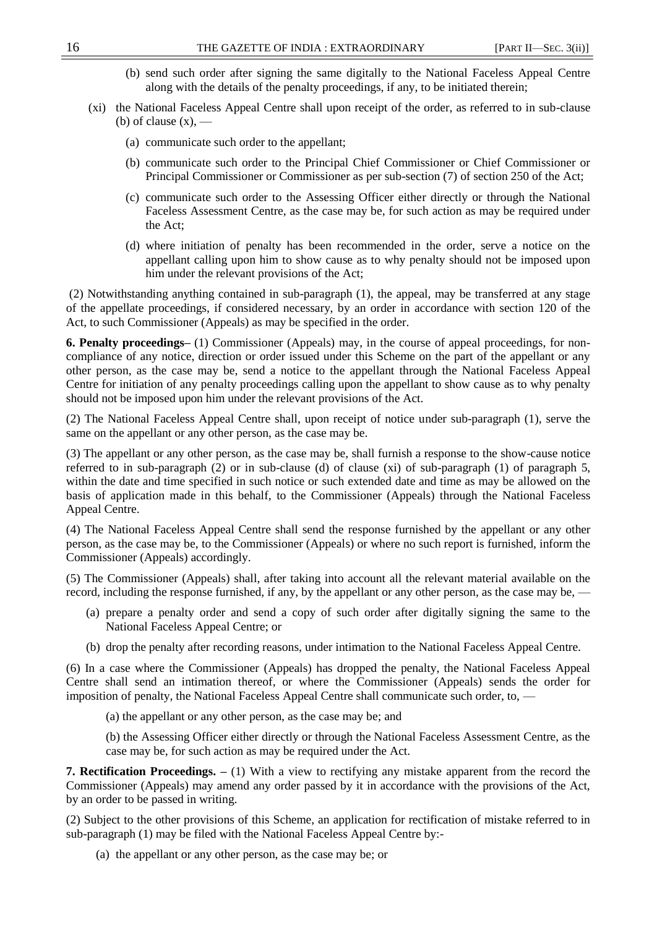- (b) send such order after signing the same digitally to the National Faceless Appeal Centre along with the details of the penalty proceedings, if any, to be initiated therein;
- (xi) the National Faceless Appeal Centre shall upon receipt of the order, as referred to in sub-clause (b) of clause  $(x)$ ,  $-$ 
	- (a) communicate such order to the appellant;
	- (b) communicate such order to the Principal Chief Commissioner or Chief Commissioner or Principal Commissioner or Commissioner as per sub-section (7) of section 250 of the Act;
	- (c) communicate such order to the Assessing Officer either directly or through the National Faceless Assessment Centre, as the case may be, for such action as may be required under the Act;
	- (d) where initiation of penalty has been recommended in the order, serve a notice on the appellant calling upon him to show cause as to why penalty should not be imposed upon him under the relevant provisions of the Act;

(2) Notwithstanding anything contained in sub-paragraph (1), the appeal, may be transferred at any stage of the appellate proceedings, if considered necessary, by an order in accordance with section 120 of the Act, to such Commissioner (Appeals) as may be specified in the order.

**6. Penalty proceedings–** (1) Commissioner (Appeals) may, in the course of appeal proceedings, for noncompliance of any notice, direction or order issued under this Scheme on the part of the appellant or any other person, as the case may be, send a notice to the appellant through the National Faceless Appeal Centre for initiation of any penalty proceedings calling upon the appellant to show cause as to why penalty should not be imposed upon him under the relevant provisions of the Act.

(2) The National Faceless Appeal Centre shall, upon receipt of notice under sub-paragraph (1), serve the same on the appellant or any other person, as the case may be.

(3) The appellant or any other person, as the case may be, shall furnish a response to the show-cause notice referred to in sub-paragraph (2) or in sub-clause (d) of clause (xi) of sub-paragraph (1) of paragraph 5, within the date and time specified in such notice or such extended date and time as may be allowed on the basis of application made in this behalf, to the Commissioner (Appeals) through the National Faceless Appeal Centre.

(4) The National Faceless Appeal Centre shall send the response furnished by the appellant or any other person, as the case may be, to the Commissioner (Appeals) or where no such report is furnished, inform the Commissioner (Appeals) accordingly.

(5) The Commissioner (Appeals) shall, after taking into account all the relevant material available on the record, including the response furnished, if any, by the appellant or any other person, as the case may be, -

- (a) prepare a penalty order and send a copy of such order after digitally signing the same to the National Faceless Appeal Centre; or
- (b) drop the penalty after recording reasons, under intimation to the National Faceless Appeal Centre.

(6) In a case where the Commissioner (Appeals) has dropped the penalty, the National Faceless Appeal Centre shall send an intimation thereof, or where the Commissioner (Appeals) sends the order for imposition of penalty, the National Faceless Appeal Centre shall communicate such order, to, —

(a) the appellant or any other person, as the case may be; and

(b) the Assessing Officer either directly or through the National Faceless Assessment Centre, as the case may be, for such action as may be required under the Act.

**7. Rectification Proceedings. –** (1) With a view to rectifying any mistake apparent from the record the Commissioner (Appeals) may amend any order passed by it in accordance with the provisions of the Act, by an order to be passed in writing.

(2) Subject to the other provisions of this Scheme, an application for rectification of mistake referred to in sub-paragraph (1) may be filed with the National Faceless Appeal Centre by:-

(a) the appellant or any other person, as the case may be; or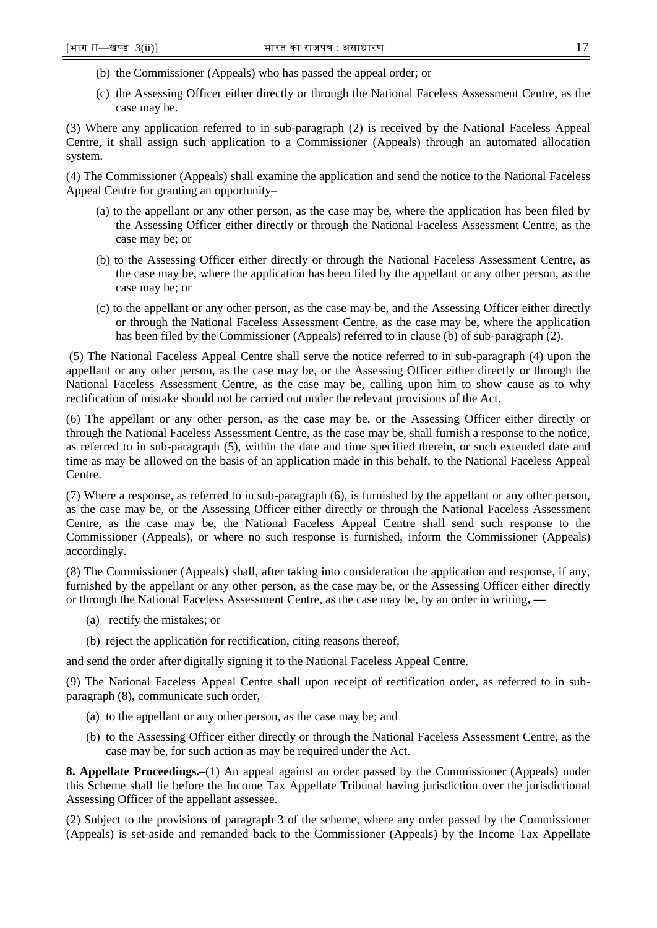- (b) the Commissioner (Appeals) who has passed the appeal order; or
- (c) the Assessing Officer either directly or through the National Faceless Assessment Centre, as the case may be.

(3) Where any application referred to in sub-paragraph (2) is received by the National Faceless Appeal Centre, it shall assign such application to a Commissioner (Appeals) through an automated allocation system.

(4) The Commissioner (Appeals) shall examine the application and send the notice to the National Faceless Appeal Centre for granting an opportunity–

- (a) to the appellant or any other person, as the case may be, where the application has been filed by the Assessing Officer either directly or through the National Faceless Assessment Centre, as the case may be; or
- (b) to the Assessing Officer either directly or through the National Faceless Assessment Centre, as the case may be, where the application has been filed by the appellant or any other person, as the case may be; or
- (c) to the appellant or any other person, as the case may be, and the Assessing Officer either directly or through the National Faceless Assessment Centre, as the case may be, where the application has been filed by the Commissioner (Appeals) referred to in clause (b) of sub-paragraph (2).

(5) The National Faceless Appeal Centre shall serve the notice referred to in sub-paragraph (4) upon the appellant or any other person, as the case may be, or the Assessing Officer either directly or through the National Faceless Assessment Centre, as the case may be, calling upon him to show cause as to why rectification of mistake should not be carried out under the relevant provisions of the Act.

(6) The appellant or any other person, as the case may be, or the Assessing Officer either directly or through the National Faceless Assessment Centre, as the case may be, shall furnish a response to the notice, as referred to in sub-paragraph (5), within the date and time specified therein, or such extended date and time as may be allowed on the basis of an application made in this behalf, to the National Faceless Appeal Centre.

(7) Where a response, as referred to in sub-paragraph (6), is furnished by the appellant or any other person, as the case may be, or the Assessing Officer either directly or through the National Faceless Assessment Centre, as the case may be, the National Faceless Appeal Centre shall send such response to the Commissioner (Appeals), or where no such response is furnished, inform the Commissioner (Appeals) accordingly.

(8) The Commissioner (Appeals) shall, after taking into consideration the application and response, if any, furnished by the appellant or any other person, as the case may be, or the Assessing Officer either directly or through the National Faceless Assessment Centre, as the case may be, by an order in writing**, —**

- (a) rectify the mistakes; or
- (b) reject the application for rectification, citing reasons thereof,

and send the order after digitally signing it to the National Faceless Appeal Centre.

(9) The National Faceless Appeal Centre shall upon receipt of rectification order, as referred to in subparagraph (8), communicate such order,–

- (a) to the appellant or any other person, as the case may be; and
- (b) to the Assessing Officer either directly or through the National Faceless Assessment Centre, as the case may be, for such action as may be required under the Act.

**8. Appellate Proceedings.–**(1) An appeal against an order passed by the Commissioner (Appeals) under this Scheme shall lie before the Income Tax Appellate Tribunal having jurisdiction over the jurisdictional Assessing Officer of the appellant assessee.

(2) Subject to the provisions of paragraph 3 of the scheme, where any order passed by the Commissioner (Appeals) is set-aside and remanded back to the Commissioner (Appeals) by the Income Tax Appellate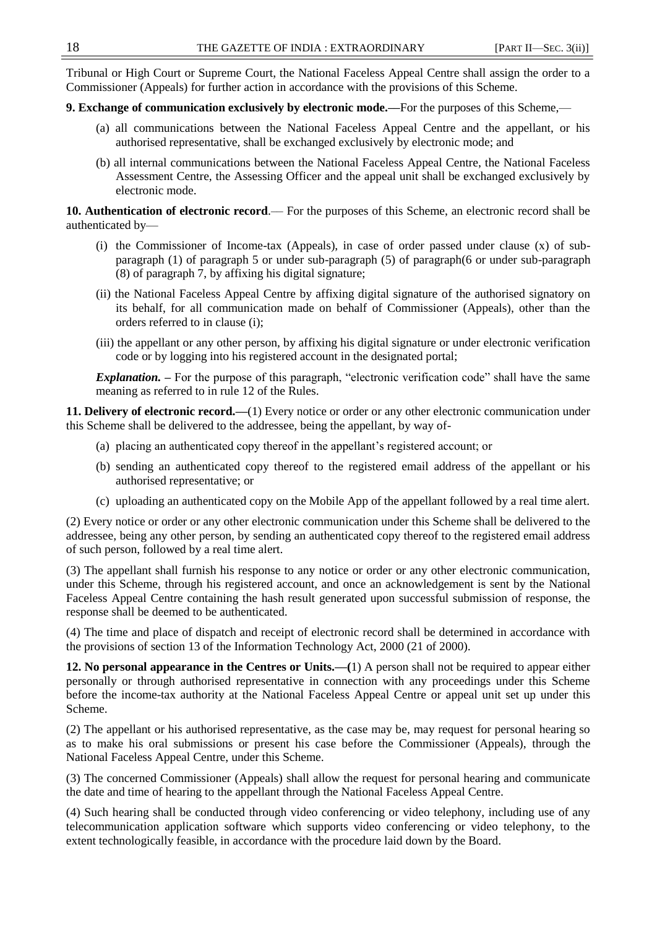Tribunal or High Court or Supreme Court, the National Faceless Appeal Centre shall assign the order to a Commissioner (Appeals) for further action in accordance with the provisions of this Scheme.

# **9. Exchange of communication exclusively by electronic mode.––**For the purposes of this Scheme,—

- (a) all communications between the National Faceless Appeal Centre and the appellant, or his authorised representative, shall be exchanged exclusively by electronic mode; and
- (b) all internal communications between the National Faceless Appeal Centre, the National Faceless Assessment Centre, the Assessing Officer and the appeal unit shall be exchanged exclusively by electronic mode.

**10. Authentication of electronic record**.–– For the purposes of this Scheme, an electronic record shall be authenticated by––

- (i) the Commissioner of Income-tax (Appeals), in case of order passed under clause (x) of subparagraph (1) of paragraph 5 or under sub-paragraph (5) of paragraph(6 or under sub-paragraph (8) of paragraph 7, by affixing his digital signature;
- (ii) the National Faceless Appeal Centre by affixing digital signature of the authorised signatory on its behalf, for all communication made on behalf of Commissioner (Appeals), other than the orders referred to in clause (i);
- (iii) the appellant or any other person, by affixing his digital signature or under electronic verification code or by logging into his registered account in the designated portal;

*Explanation.* – For the purpose of this paragraph, "electronic verification code" shall have the same meaning as referred to in rule 12 of the Rules.

**11. Delivery of electronic record.––**(1) Every notice or order or any other electronic communication under this Scheme shall be delivered to the addressee, being the appellant, by way of-

- (a) placing an authenticated copy thereof in the appellant's registered account; or
- (b) sending an authenticated copy thereof to the registered email address of the appellant or his authorised representative; or
- (c) uploading an authenticated copy on the Mobile App of the appellant followed by a real time alert.

(2) Every notice or order or any other electronic communication under this Scheme shall be delivered to the addressee, being any other person, by sending an authenticated copy thereof to the registered email address of such person, followed by a real time alert.

(3) The appellant shall furnish his response to any notice or order or any other electronic communication, under this Scheme, through his registered account, and once an acknowledgement is sent by the National Faceless Appeal Centre containing the hash result generated upon successful submission of response, the response shall be deemed to be authenticated.

(4) The time and place of dispatch and receipt of electronic record shall be determined in accordance with the provisions of section 13 of the Information Technology Act, 2000 (21 of 2000).

**12. No personal appearance in the Centres or Units.––(**1) A person shall not be required to appear either personally or through authorised representative in connection with any proceedings under this Scheme before the income-tax authority at the National Faceless Appeal Centre or appeal unit set up under this Scheme.

(2) The appellant or his authorised representative, as the case may be, may request for personal hearing so as to make his oral submissions or present his case before the Commissioner (Appeals), through the National Faceless Appeal Centre, under this Scheme.

(3) The concerned Commissioner (Appeals) shall allow the request for personal hearing and communicate the date and time of hearing to the appellant through the National Faceless Appeal Centre.

(4) Such hearing shall be conducted through video conferencing or video telephony, including use of any telecommunication application software which supports video conferencing or video telephony, to the extent technologically feasible, in accordance with the procedure laid down by the Board.